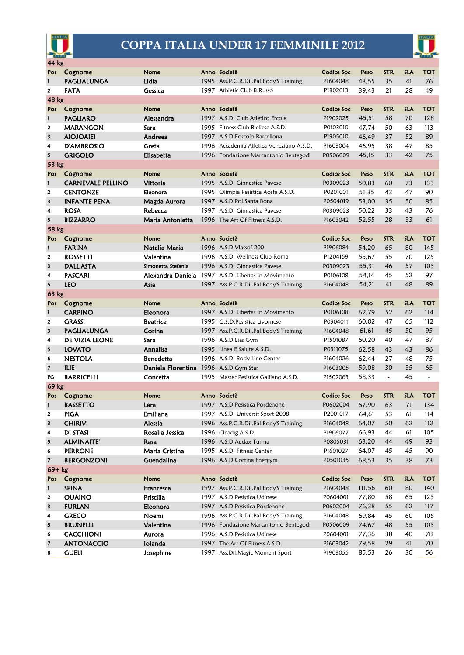

## **COPPA ITALIA UNDER 17 FEMMINILE 2012**



| 44 kg                                                                                                                                                     |                                |                    |  |                                                                         |                      |                 |            |            |            |
|-----------------------------------------------------------------------------------------------------------------------------------------------------------|--------------------------------|--------------------|--|-------------------------------------------------------------------------|----------------------|-----------------|------------|------------|------------|
| Pos                                                                                                                                                       | Cognome                        | Nome               |  | Anno Società                                                            | Codice Soc           | Peso            | <b>STR</b> | <b>SLA</b> | ТОТ        |
| 1                                                                                                                                                         | <b>PAGLIALUNGA</b>             | Lidia              |  | 1995 Ass.P.C.R.Dil.Pal.Body'S Training                                  | P1604048             | 43,55           | 35         | 41         | 76         |
| $\overline{\mathbf{2}}$                                                                                                                                   | FATA                           | Gessica            |  | 1997 Athletic Club B.Russo                                              | P1802013             | 39,43           | 21         | 28         | 49         |
| <b>48 kg</b>                                                                                                                                              |                                |                    |  |                                                                         |                      |                 |            |            |            |
| Pos                                                                                                                                                       | Cognome                        | Nome               |  | Anno Società                                                            | Codice Soc           | Peso            | <b>STR</b> | <b>SLA</b> | <b>TOT</b> |
| $\mathbf{1}$                                                                                                                                              | <b>PAGLIARO</b>                | Alessandra         |  | 1997 A.S.D. Club Atletico Ercole                                        | P1902025             | 45,51           | 58         | 70         | 128        |
| $\overline{\mathbf{2}}$                                                                                                                                   | <b>MARANGON</b>                | Sara               |  | 1995 Fitness Club Biellese A.S.D.                                       | P0103010             | 47,74           | 50         | 63         | 113        |
| 3                                                                                                                                                         | <b>AIOJOAIEI</b>               | Andreea            |  | 1997 A.S.D. Foscolo Barcellona                                          | P1905010             | 46,49           | 37         | 52         | 89         |
| 4                                                                                                                                                         | <b>D'AMBROSIO</b>              | Greta              |  | 1996 Accademia Atletica Veneziano A.S.D.                                | P1603004             | 46,95           | 38         | 47         | 85         |
| 5                                                                                                                                                         | <b>GRIGOLO</b>                 | Elisabetta         |  | 1996 Fondazione Marcantonio Bentegodi                                   | P0506009             | 45,15           | 33         | 42         | 75         |
| 53 kg                                                                                                                                                     |                                |                    |  |                                                                         |                      |                 |            |            |            |
| Pos                                                                                                                                                       | Cognome                        | Nome               |  | Anno Società                                                            | Codice Soc           | Peso            | <b>STR</b> | <b>SLA</b> | ТОТ        |
| $\mathbf{1}$                                                                                                                                              | <b>CARNEVALE PELLINO</b>       | Vittoria           |  | 1995 A.S.D. Ginnastica Pavese                                           | P0309023             | 50,83           | 60         | 73         | 133        |
| 2                                                                                                                                                         | <b>CENTONZE</b>                | Eleonora           |  | 1995 Olimpia Pesistica Aosta A.S.D.                                     | P0201001             | 51,35           | 43         | 47         | 90         |
| 3                                                                                                                                                         | <b>INFANTE PENA</b>            | Magda Aurora       |  | 1997 A.S.D.Pol.Santa Bona                                               | P0504019             | 53,00           | 35         | 50         | 85         |
| 4                                                                                                                                                         | <b>ROSA</b>                    | Rebecca            |  | 1997 A.S.D. Ginnastica Pavese                                           | P0309023             | 50,22           | 33         | 43         | 76         |
| 5                                                                                                                                                         | <b>BIZZARRO</b>                | Maria Antonietta   |  | 1996 The Art Of Fitness A.S.D.                                          | P1603042             | 52,55           | 28         | 33         | 61         |
| 58 kg                                                                                                                                                     |                                |                    |  |                                                                         |                      |                 |            |            |            |
| Pos                                                                                                                                                       | Cognome                        | <b>Nome</b>        |  | Anno Società                                                            | Codice Soc           | Peso            | <b>STR</b> | <b>SLA</b> | <b>TOT</b> |
| $\mathbf{1}$                                                                                                                                              | <b>FARINA</b>                  | Natalia Maria      |  | 1996 A.S.D. Vlass of 200                                                | P1906084             | 54,20           | 65         | 80         | 145        |
| $\mathbf{2}$                                                                                                                                              | <b>ROSSETTI</b>                | Valentina          |  | 1996 A.S.D. Wellness Club Roma                                          | P1204159             | 55,67           | 55         | 70         | 125        |
| 3                                                                                                                                                         | <b>DALL'ASTA</b>               | Simonetta Stefania |  | 1996 A.S.D. Ginnastica Pavese                                           | P0309023             | 55.31           | 46         | 57         | 103        |
| 4                                                                                                                                                         | <b>PASCARI</b>                 | Alexandra Daniela  |  | 1997 A.S.D. Libertas In Movimento                                       | P0106108             | 54,14           | 45         | 52         | 97         |
| 5                                                                                                                                                         | <b>LEO</b>                     | Asia               |  | 1997 Ass.P.C.R.Dil.Pal.Body'S Training                                  | P1604048             | 54,21           | 41         | 48         | 89         |
| 63 kg                                                                                                                                                     |                                |                    |  |                                                                         |                      |                 |            |            |            |
| Pos                                                                                                                                                       | Cognome                        | Nome               |  | Anno Società                                                            | Codice Soc           | Peso            | STR.       | <b>SLA</b> | TOT        |
| $\mathbf{1}$                                                                                                                                              | <b>CARPINO</b>                 | Eleonora           |  | 1997 A.S.D. Libertas In Movimento                                       | P0106108             | 62,79           | 52         | 62         | 114        |
| $\overline{\mathbf{2}}$                                                                                                                                   | <b>GRASSI</b>                  | <b>Beatrice</b>    |  | 1995 G.S.D. Pesistica Livornese                                         | P0904011             | 60,02           | 47         | 65         | 112        |
| $\overline{\mathbf{3}}$                                                                                                                                   | <b>PAGLIALUNGA</b>             | Corina             |  | 1997 Ass.P.C.R.Dil.Pal.Body'S Training                                  | P1604048             | 61,61           | 45         | 50         | 95         |
| 4                                                                                                                                                         | DE VIZIA LEONE                 | Sara               |  | 1996 A.S.D.Lias Gym                                                     | P1501087             | 60,20           | 40         | 47         | 87         |
| 5                                                                                                                                                         | <b>LOVATO</b>                  | Annalisa           |  | 1995 Linea E Salute A.S.D.                                              | P0311075             | 62.58           | 43         | 43         | 86         |
| 6                                                                                                                                                         | <b>NESTOLA</b>                 | <b>Benedetta</b>   |  | 1996 A.S.D. Body Line Center                                            | P1604026             | 62,44           | 27         | 48         | 75         |
| $\overline{\mathbf{z}}$                                                                                                                                   | <b>ILIE</b>                    | Daniela Florentina |  | 1996 A.S.D.Gym Star                                                     | P1603005             | 59,08           | 30         | 35         | 65         |
| <b>BARRICELLI</b><br>Concetta<br>1995 Master Pesistica Galliano A.S.D.<br>45<br>FG<br>P1502063<br>58,33<br>$\tilde{\phantom{a}}$<br>$\tilde{\phantom{a}}$ |                                |                    |  |                                                                         |                      |                 |            |            |            |
| 69 kg                                                                                                                                                     |                                |                    |  |                                                                         |                      |                 |            |            |            |
| Pos                                                                                                                                                       | Cognome                        | Nome               |  | Anno Società                                                            | Codice Soc           | Peso            | <b>STR</b> | <b>SLA</b> | TOT        |
| $\mathbf{1}$                                                                                                                                              | <b>BASSETTO</b>                | Lara               |  | 1997 A.S.D. Pesistica Pordenone                                         | P0602004             | 67,90           | 63         | 71         | 134        |
| $\overline{\mathbf{2}}$                                                                                                                                   | <b>PIGA</b>                    | <b>Emiliana</b>    |  | 1997 A.S.D. Universit Sport 2008                                        | P2001017             | 64,61           | 53         | 61         | 114        |
| 3                                                                                                                                                         | <b>CHIRIVI</b>                 | Alessia            |  | 1996 Ass.P.C.R.Dil.Pal.Body'S Training                                  | P1604048             | 64,07           | 50         | 62         | 112        |
| 4                                                                                                                                                         | <b>DI STASI</b>                | Rosalia Jessica    |  | 1996 Cleadig A.S.D.                                                     | P1906077             | 66,93           | 44         | 61         | 105        |
| 5                                                                                                                                                         | <b>ALMINAITE'</b>              | Rasa               |  | 1996 A.S.D.Audax Turma                                                  | P0805031             | 63,20           | 44         | 49         | 93         |
| 6                                                                                                                                                         | <b>PERRONE</b>                 | Maria Cristina     |  | 1995 A.S.D. Fitness Center                                              | P1601027             | 64,07           | 45         | 45         | 90         |
| 7                                                                                                                                                         | <b>BERGONZONI</b>              | Guendalina         |  | 1996 A.S.D.Cortina Energym                                              | P0501035             | 68,53           | 35         | 38         | 73         |
| $69 + kg$<br>Nome<br>Anno Società                                                                                                                         |                                |                    |  |                                                                         |                      |                 |            |            |            |
| Pos                                                                                                                                                       | Cognome                        | Francesca          |  |                                                                         | Codice Soc           | Peso            | <b>STR</b> | <b>SLA</b> | <b>TOT</b> |
| 1<br>2                                                                                                                                                    | <b>SPINA</b>                   | Priscilla          |  | 1997 Ass.P.C.R.Dil.Pal.Body'S Training<br>1997 A.S.D. Pesistica Udinese | P1604048<br>P0604001 | 111,56<br>77,80 | 60         | 80         | 140        |
| 3                                                                                                                                                         | <b>QUAINO</b><br><b>FURLAN</b> | Eleonora           |  | 1997 A.S.D. Pesistica Pordenone                                         | P0602004             | 76,38           | 58         | 65<br>62   | 123        |
| 4                                                                                                                                                         | <b>GRECO</b>                   | Noemi              |  | 1996 Ass.P.C.R.Dil.Pal.Body'S Training                                  | P1604048             | 69,84           | 55<br>45   | 60         | 117<br>105 |
| 5                                                                                                                                                         | <b>BRUNELLI</b>                | Valentina          |  | 1996 Fondazione Marcantonio Bentegodi                                   | P0506009             | 74,67           | 48         | 55         | 103        |
| 6                                                                                                                                                         | <b>CACCHIONI</b>               | Aurora             |  | 1996 A.S.D. Pesistica Udinese                                           | P0604001             | 77,36           | 38         | 40         | 78         |
| 7                                                                                                                                                         | <b>ANTONACCIO</b>              | lolanda            |  | 1997 The Art Of Fitness A.S.D.                                          | P1603042             | 79,58           | 29         | 41         | 70         |
| 8                                                                                                                                                         | <b>GUELI</b>                   | Josephine          |  | 1997 Ass. Dil. Magic Moment Sport                                       | P1903055             | 85,53           | 26         | 30         | 56         |
|                                                                                                                                                           |                                |                    |  |                                                                         |                      |                 |            |            |            |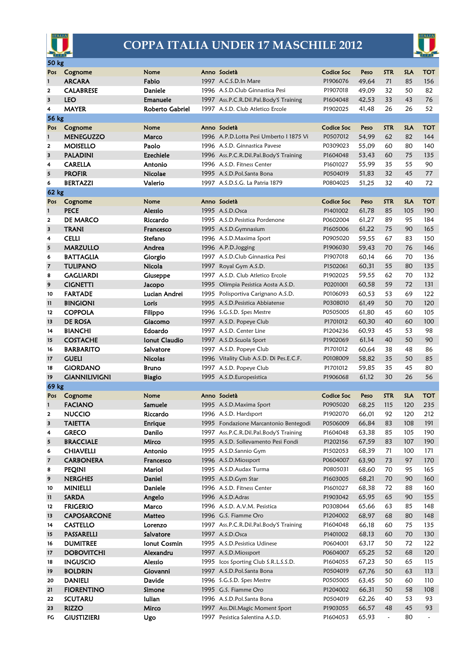

## **COPPA ITALIA UNDER 17 MASCHILE 2012**



| <b>COLORED AND</b><br><b>CALIFACT</b><br><b>50 kg</b> |                          |                  |  |                                          |                   |       |                       |                  |                          |
|-------------------------------------------------------|--------------------------|------------------|--|------------------------------------------|-------------------|-------|-----------------------|------------------|--------------------------|
|                                                       |                          |                  |  |                                          |                   |       |                       |                  |                          |
| Pos                                                   | Cognome<br><b>ARCARA</b> | Nome<br>Fabio    |  | Anno Società                             | Codice Soc        | Peso  | <b>STR</b>            | <b>SLA</b><br>85 | <b>TOT</b><br>156        |
| 1                                                     |                          |                  |  | 1997 A.C.S.D.In Mare                     | P1906076          | 49,64 | 71                    |                  |                          |
| $\overline{\mathbf{2}}$                               | <b>CALABRESE</b>         | <b>Daniele</b>   |  | 1996 A.S.D.Club Ginnastica Pesi          | P1907018          | 49,09 | 32                    | 50               | 82                       |
| 3                                                     | <b>LEO</b>               | <b>Emanuele</b>  |  | 1997 Ass.P.C.R.Dil.Pal.Body'S Training   | P1604048          | 42,53 | 33                    | 43               | 76                       |
| 4                                                     | <b>MAYER</b>             | Roberto Gabriel  |  | 1997 A.S.D. Club Atletico Ercole         | P1902025          | 41,48 | 26                    | 26               | 52                       |
|                                                       | <b>56 kg</b>             |                  |  |                                          |                   |       |                       |                  |                          |
| Pos                                                   | Cognome                  | Nome             |  | Anno Società                             | Codice Soc        | Peso  | <b>STR</b>            | <b>SLA</b>       | TOT                      |
| $\mathbf{1}$                                          | <b>MENEGUZZO</b>         | Marco            |  | 1996 A.P.D. Lotta Pesi Umberto I 1875 Vi | P0507012          | 54,99 | 62                    | 82               | 144                      |
| $\mathbf{2}$                                          | <b>MOISELLO</b>          | Paolo            |  | 1996 A.S.D. Ginnastica Pavese            | P0309023          | 55,09 | 60                    | 80               | 140                      |
| 3                                                     | <b>PALADINI</b>          | <b>Ezechiele</b> |  | 1996 Ass.P.C.R.Dil.Pal.Body'S Training   | P1604048          | 53.43 | 60                    | 75               | 135                      |
| 4                                                     | <b>CARELLA</b>           | Antonio          |  | 1996 A.S.D. Fitness Center               | P1601027          | 55,99 | 35                    | 55               | 90                       |
| 5                                                     | <b>PROFIR</b>            | <b>Nicolae</b>   |  | 1995 A.S.D.Pol.Santa Bona                | P0504019          | 51,83 | 32                    | 45               | 77                       |
| 6                                                     | <b>BERTAZZI</b>          | Valerio          |  | 1997 A.S.D.S.G. La Patria 1879           | P0804025          | 51,25 | 32                    | 40               | 72                       |
| 62 kg                                                 |                          |                  |  |                                          |                   |       |                       |                  |                          |
| Pos                                                   | Cognome                  | Nome             |  | Anno Società                             | <b>Codice Soc</b> | Peso  | <b>STR</b>            | <b>SLA</b>       | <b>TOT</b>               |
| $\mathbf{1}$                                          | <b>PECE</b>              | Alessio          |  | 1995 A.S.D.Osca                          | P1401002          | 61,78 | 85                    | 105              | 190                      |
| 2                                                     | <b>DE MARCO</b>          | Riccardo         |  | 1995 A.S.D.Pesistica Pordenone           | P0602004          | 61,27 | 89                    | 95               | 184                      |
| 3                                                     | TRANI                    | Francesco        |  | 1995 A.S.D.Gymnasium                     | P1605006          | 61,22 | 75                    | 90               | 165                      |
| 4                                                     | <b>CELLI</b>             | Stefano          |  | 1996 A.S.D.Maxima Sport                  | P0905020          | 59,55 | 67                    | 83               | 150                      |
| 5                                                     | <b>MARZULLO</b>          | Andrea           |  | 1996 A.P.D.Jogging                       | P1906030          | 59,43 | 70                    | 76               | 146                      |
| 6                                                     | <b>BATTAGLIA</b>         | Giorgio          |  | 1997 A.S.D.Club Ginnastica Pesi          | P1907018          | 60,14 | 66                    | 70               | 136                      |
| $\overline{\mathbf{z}}$                               | TULIPANO                 | Nicola           |  | 1997 Royal Gym A.S.D.                    | P1502061          | 60,31 | 55                    | 80               | 135                      |
| 8                                                     | <b>GAGLIARDI</b>         | Giuseppe         |  | 1997 A.S.D. Club Atletico Ercole         | P1902025          | 59,55 | 62                    | 70               | 132                      |
| 9                                                     | <b>CIGNETTI</b>          | Jacopo           |  | 1995 Olimpia Pesistica Aosta A.S.D.      | P0201001          | 60,58 | 59                    | 72               | 131                      |
| 10                                                    | <b>FARTADE</b>           | Lucian Andrei    |  | 1995 Polisportiva Carignano A.S.D.       | P0106093          | 60,53 | 53                    | 69               | 122                      |
| $\mathbf{11}$                                         | <b>BINGIONI</b>          | Loris            |  | 1995 A.S.D. Pesistica Abbiatense         | P0308010          | 61,49 | 50                    | 70               | 120                      |
| 12                                                    | <b>COPPOLA</b>           | Filippo          |  | 1996 S.G.S.D. Spes Mestre                | P0505005          | 61,80 | 45                    | 60               | 105                      |
| 13                                                    | <b>DE ROSA</b>           | Giacomo          |  | 1997 A.S.D. Popeye Club                  | P1701012          | 60,30 | 40                    | 60               | 100                      |
| 14                                                    | <b>BIANCHI</b>           | Edoardo          |  | 1997 A.S.D. Center Line                  | P1204236          | 60,93 | 45                    | 53               | 98                       |
| 15                                                    | <b>COSTACHE</b>          | Ionut Claudio    |  | 1997 A.S.D. Scuola Sport                 | P1902069          | 61,14 | 40                    | 50               | 90                       |
| 16                                                    | <b>BARBARITO</b>         | Salvatore        |  | 1997 A.S.D. Popeye Club                  | P1701012          | 60,64 | 38                    | 48               | 86                       |
| 17                                                    | GUELI                    | <b>Nicolas</b>   |  | 1996 Vitality Club A.S.D. Di Pes.E.C.F.  | P0108009          | 58,82 | 35                    | 50               | 85                       |
| 18                                                    | <b>GIORDANO</b>          | <b>Bruno</b>     |  | 1997 A.S.D. Popeye Club                  | P1701012          | 59,85 | 35                    | 45               | 80                       |
| 19                                                    | <b>GIANNILIVIGNI</b>     | <b>Biagio</b>    |  | 1995 A.S.D. Europesistica                | P1906068          | 61,12 | 30                    | 26               | 56                       |
| <b>69 kg</b>                                          |                          |                  |  |                                          |                   |       |                       |                  |                          |
| Pos                                                   | Cognome                  | Nome             |  | Anno Società                             | Codice Soc        | Peso  | <b>STR</b>            | <b>SLA</b>       | TOT                      |
| $\mathbf{I}$                                          | <b>FACIANO</b>           | Samuele          |  | 1995 A.S.D.Maxima Sport                  | P0905020          | 68,25 | 115                   | 120              | 235                      |
| 2                                                     | <b>NUCCIO</b>            | Riccardo         |  | 1996 A.S.D. Hardsport                    | P1902070          | 66,01 | 92                    | 120              | 212                      |
| 3                                                     | <b>TAIETTA</b>           | <b>Enrique</b>   |  | 1995 Fondazione Marcantonio Bentegodi    | P0506009          | 66,84 | 83                    | 108              | 191                      |
| 4                                                     | <b>GRECO</b>             | Danilo           |  | 1997 Ass.P.C.R.Dil.Pal.Body'S Training   | P1604048          | 63,38 | 85                    | 105              | 190                      |
| 5                                                     | <b>BRACCIALE</b>         | Mirco            |  | 1995 A.S.D. Sollevamento Pesi Fondi      | P1202156          | 67,59 | 83                    | 107              | 190                      |
| 6                                                     | CHIAVELLI                | Antonio          |  | 1995 A.S.D.Sannio Gym                    | P1502053          | 68,39 | 71                    | 100              | 171                      |
| 7                                                     | <b>CARBONERA</b>         | Francesco        |  | 1996 A.S.D.Miossport                     | P0604007          | 63,90 | 73                    | 97               | 170                      |
| 8                                                     | <b>PEQINI</b>            | Mariol           |  | 1995 A.S.D.Audax Turma                   | P0805031          | 68,60 | 70                    | 95               | 165                      |
| 9                                                     | <b>NERGHES</b>           | Daniel           |  | 1995 A.S.D.Gym Star                      | P1603005          | 68,21 | 70                    | 90               | 160                      |
| 10                                                    | <b>MINIELLI</b>          | Daniele          |  | 1996 A.S.D. Fitness Center               | P1601027          | 68,38 | 72                    | 88               | 160                      |
| $\mathbf{11}$                                         | <b>SARDA</b>             | Angelo           |  | 1996 A.S.D. Adras                        | P1903042          | 65,95 | 65                    | 90               | 155                      |
| 12                                                    | <b>FRIGERIO</b>          | Marco            |  | 1996 A.S.D. A.V.M. Pesistica             | P0308044          | 65,66 | 63                    | 85               | 148                      |
| 13                                                    | <b>CAPOSARCONE</b>       | Matteo           |  | 1996 G.S. Fiamme Oro                     | P1204002          | 68,97 | 68                    | 80               | 148                      |
| 14                                                    | <b>CASTELLO</b>          | Lorenzo          |  | 1997 Ass.P.C.R.Dil.Pal.Body'S Training   | P1604048          | 66,18 | 60                    | 75               | 135                      |
| 15                                                    | <b>PASSARELLI</b>        | Salvatore        |  | 1997 A.S.D.Osca                          | P1401002          | 68,13 | 60                    | 70               | 130                      |
| 16                                                    | <b>DUMITREE</b>          | Ionut Cosmin     |  | 1995 A.S.D. Pesistica Udinese            | P0604001          | 63,17 | 50                    | 72               | 122                      |
| 17                                                    | <b>DOBOVITCHI</b>        | Alexandru        |  | 1997 A.S.D.Miossport                     | P0604007          | 65,25 | 52                    | 68               | 120                      |
| 18                                                    | <b>INGUSCIO</b>          | Alessio          |  | 1995 Icos Sporting Club S.R.L.S.S.D.     | P1604055          | 67,23 | 50                    | 65               | 115                      |
| 19                                                    | <b>BOLDRIN</b>           | Giovanni         |  | 1997 A.S.D.Pol.Santa Bona                | P0504019          | 67,76 | 50                    | 63               | 113                      |
| 20                                                    | <b>DANIELI</b>           | Davide           |  | 1996 S.G.S.D. Spes Mestre                | P0505005          | 63,45 | 50                    | 60               | 110                      |
| 21                                                    | <b>FIORENTINO</b>        | Simone           |  | 1995 G.S. Fiamme Oro                     | P1204002          | 66,31 | 50                    | 58               | 108                      |
| 22                                                    | <b>SCUTARU</b>           | lulian           |  | 1996 A.S.D.Pol.Santa Bona                | P0504019          | 62,26 | 40                    | 53               | 93                       |
| 23                                                    | <b>RIZZO</b>             | Mirco            |  | 1997 Ass. Dil. Magic Moment Sport        | P1903055          | 66,57 | 48                    | 45               | 93                       |
| FG                                                    | <b>GIUSTIZIERI</b>       | Ugo              |  | 1997 Pesistica Salentina A.S.D.          | P1604053          | 65,93 | $\tilde{\phantom{a}}$ | 80               | $\overline{\phantom{a}}$ |